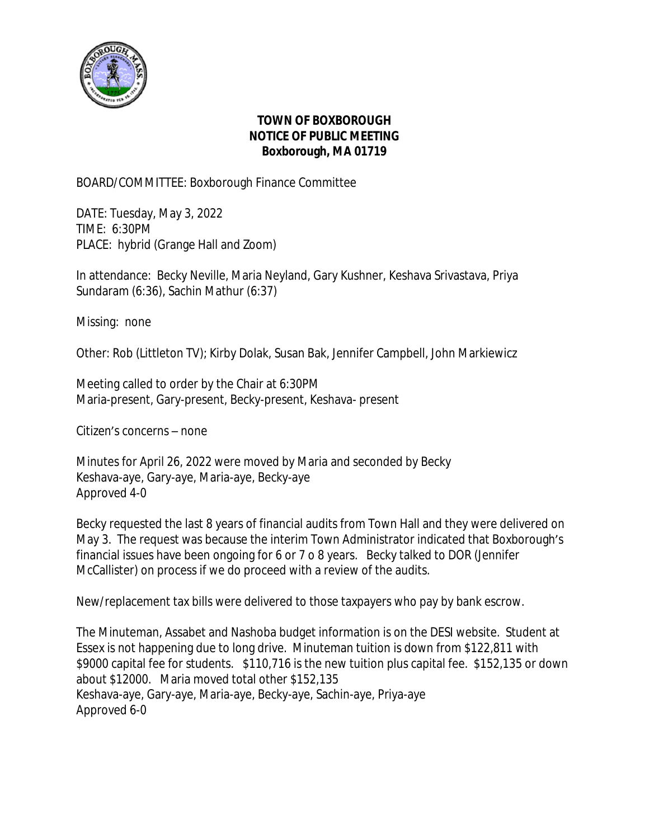

## **TOWN OF BOXBOROUGH NOTICE OF PUBLIC MEETING Boxborough, MA 01719**

BOARD/COMMITTEE: Boxborough Finance Committee

DATE: Tuesday, May 3, 2022 TIME: 6:30PM PLACE: hybrid (Grange Hall and Zoom)

In attendance: Becky Neville, Maria Neyland, Gary Kushner, Keshava Srivastava, Priya Sundaram (6:36), Sachin Mathur (6:37)

Missing: none

Other: Rob (Littleton TV); Kirby Dolak, Susan Bak, Jennifer Campbell, John Markiewicz

Meeting called to order by the Chair at 6:30PM Maria-present, Gary-present, Becky-present, Keshava- present

Citizen's concerns – none

Minutes for April 26, 2022 were moved by Maria and seconded by Becky Keshava-aye, Gary-aye, Maria-aye, Becky-aye Approved 4-0

Becky requested the last 8 years of financial audits from Town Hall and they were delivered on May 3. The request was because the interim Town Administrator indicated that Boxborough's financial issues have been ongoing for 6 or 7 o 8 years. Becky talked to DOR (Jennifer McCallister) on process if we do proceed with a review of the audits.

New/replacement tax bills were delivered to those taxpayers who pay by bank escrow.

The Minuteman, Assabet and Nashoba budget information is on the DESI website. Student at Essex is not happening due to long drive. Minuteman tuition is down from \$122,811 with \$9000 capital fee for students. \$110,716 is the new tuition plus capital fee. \$152,135 or down about \$12000. Maria moved total other \$152,135 Keshava-aye, Gary-aye, Maria-aye, Becky-aye, Sachin-aye, Priya-aye Approved 6-0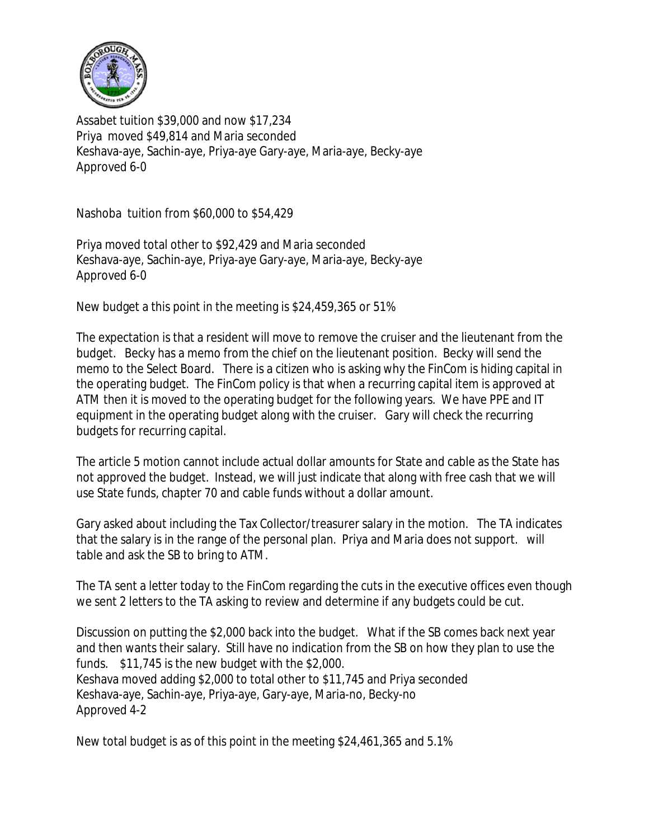

Assabet tuition \$39,000 and now \$17,234 Priya moved \$49,814 and Maria seconded Keshava-aye, Sachin-aye, Priya-aye Gary-aye, Maria-aye, Becky-aye Approved 6-0

Nashoba tuition from \$60,000 to \$54,429

Priya moved total other to \$92,429 and Maria seconded Keshava-aye, Sachin-aye, Priya-aye Gary-aye, Maria-aye, Becky-aye Approved 6-0

New budget a this point in the meeting is \$24,459,365 or 51%

The expectation is that a resident will move to remove the cruiser and the lieutenant from the budget. Becky has a memo from the chief on the lieutenant position. Becky will send the memo to the Select Board. There is a citizen who is asking why the FinCom is hiding capital in the operating budget. The FinCom policy is that when a recurring capital item is approved at ATM then it is moved to the operating budget for the following years. We have PPE and IT equipment in the operating budget along with the cruiser. Gary will check the recurring budgets for recurring capital.

The article 5 motion cannot include actual dollar amounts for State and cable as the State has not approved the budget. Instead, we will just indicate that along with free cash that we will use State funds, chapter 70 and cable funds without a dollar amount.

Gary asked about including the Tax Collector/treasurer salary in the motion. The TA indicates that the salary is in the range of the personal plan. Priya and Maria does not support. will table and ask the SB to bring to ATM.

The TA sent a letter today to the FinCom regarding the cuts in the executive offices even though we sent 2 letters to the TA asking to review and determine if any budgets could be cut.

Discussion on putting the \$2,000 back into the budget. What if the SB comes back next year and then wants their salary. Still have no indication from the SB on how they plan to use the funds. \$11,745 is the new budget with the \$2,000. Keshava moved adding \$2,000 to total other to \$11,745 and Priya seconded Keshava-aye, Sachin-aye, Priya-aye, Gary-aye, Maria-no, Becky-no Approved 4-2

New total budget is as of this point in the meeting \$24,461,365 and 5.1%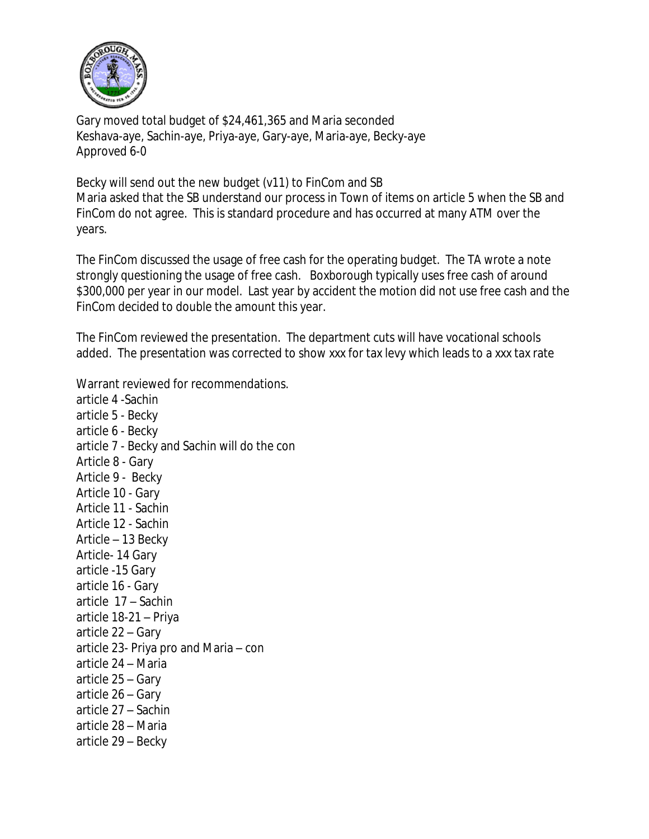

Gary moved total budget of \$24,461,365 and Maria seconded Keshava-aye, Sachin-aye, Priya-aye, Gary-aye, Maria-aye, Becky-aye Approved 6-0

Becky will send out the new budget (v11) to FinCom and SB Maria asked that the SB understand our process in Town of items on article 5 when the SB and FinCom do not agree. This is standard procedure and has occurred at many ATM over the years.

The FinCom discussed the usage of free cash for the operating budget. The TA wrote a note strongly questioning the usage of free cash. Boxborough typically uses free cash of around \$300,000 per year in our model. Last year by accident the motion did not use free cash and the FinCom decided to double the amount this year.

The FinCom reviewed the presentation. The department cuts will have vocational schools added. The presentation was corrected to show xxx for tax levy which leads to a xxx tax rate

Warrant reviewed for recommendations. article 4 -Sachin article 5 - Becky article 6 - Becky article 7 - Becky and Sachin will do the con Article 8 - Gary Article 9 - Becky Article 10 - Gary Article 11 - Sachin Article 12 - Sachin Article – 13 Becky Article- 14 Gary article -15 Gary article 16 - Gary article 17 – Sachin article 18-21 – Priya article 22 – Gary article 23- Priya pro and Maria – con article 24 – Maria article 25 – Gary article 26 – Gary article 27 – Sachin article 28 – Maria article 29 – Becky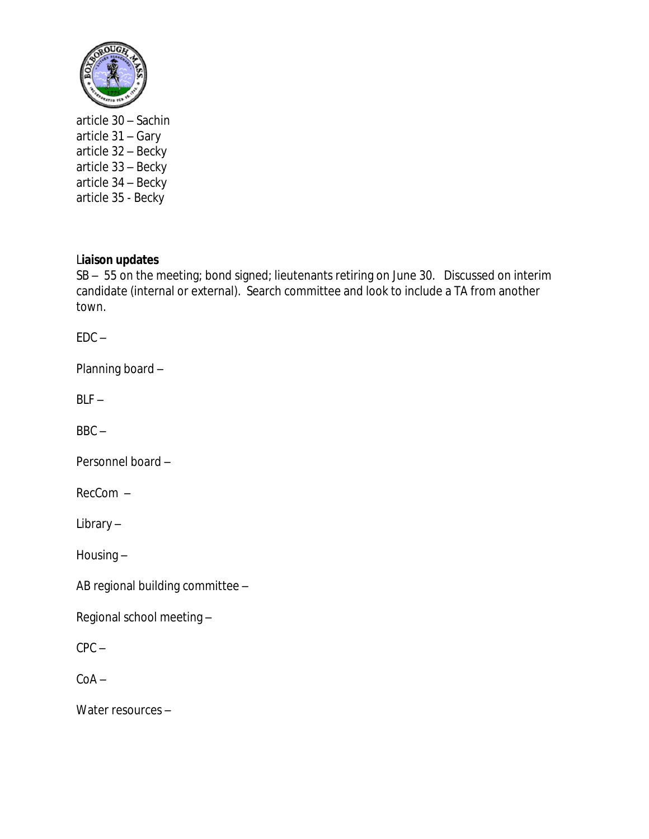

article 30 – Sachin article 31 – Gary article 32 – Becky article 33 – Becky article 34 – Becky article 35 - Becky

## L**iaison updates**

SB – 55 on the meeting; bond signed; lieutenants retiring on June 30. Discussed on interim candidate (internal or external). Search committee and look to include a TA from another town.

 $EDC -$ 

Planning board –

 $BLF -$ 

 $BBC -$ 

Personnel board –

RecCom –

Library –

Housing –

AB regional building committee –

Regional school meeting –

CPC –

 $CoA -$ 

Water resources –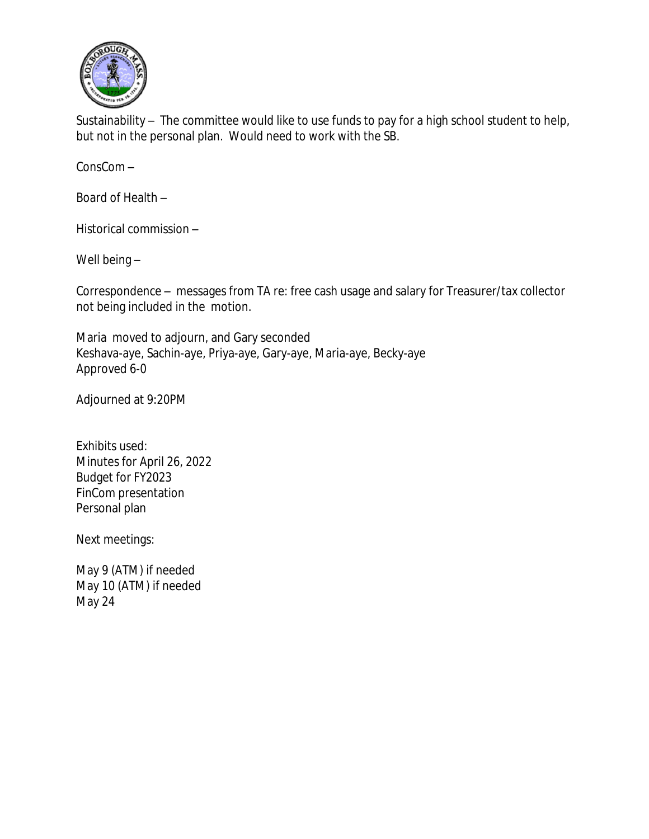

Sustainability – The committee would like to use funds to pay for a high school student to help, but not in the personal plan. Would need to work with the SB.

ConsCom –

Board of Health –

Historical commission –

Well being –

Correspondence – messages from TA re: free cash usage and salary for Treasurer/tax collector not being included in the motion.

Maria moved to adjourn, and Gary seconded Keshava-aye, Sachin-aye, Priya-aye, Gary-aye, Maria-aye, Becky-aye Approved 6-0

Adjourned at 9:20PM

Exhibits used: Minutes for April 26, 2022 Budget for FY2023 FinCom presentation Personal plan

Next meetings:

May 9 (ATM) if needed May 10 (ATM) if needed May 24